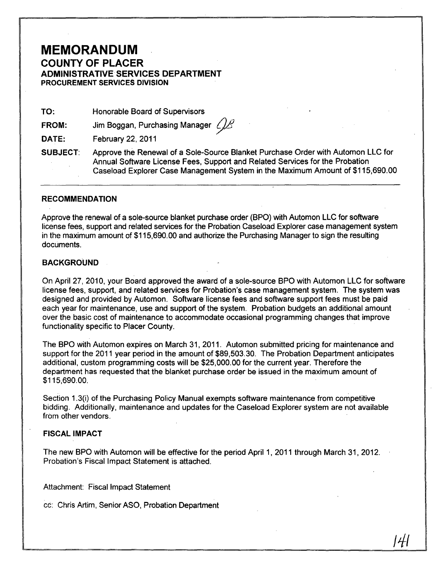## **MEMORANDUM**  COUNTY OF PLACER ADMINISTRATIVE· SERVICES DEPARTMENT PROCUREMENT SERVICES DIVISION

TO: Honorable Board of Supervisors

FROM: Jim Boggan, Purchasing Manager  $\mathcal{L}$ 

DATE: February 22, 2011

SUBJECT: Approve the Renewal of a Sole-Source Blanket Purchase Order with Automon LLC for Annual Software License Fees, Support and Related Services for the Probation Caseload Explorer Case Management System in the Maximum Amount of \$115,690.00

### RECOMMENDATION

Approve the renewal of a sole-source blanket purchase order (BPO) with Automon LLC for software license fees, support and related services for the Probation Caseload Explorer case management system in the maximum amount of \$115,690.00 and authorize the Purchasing Manager to sign the resulting documents.

#### **BACKGROUND**

On April 27, 2010, your Board approved the award of a sole-source BPO with Automon LLC for software license fees, support, and related services for Probation's case management system. The system was designed and provided by Automon. Software license fees and software support fees must be paid each year for maintenance, use and support of the system. Probation budgets an additional amount over the basic cost of maintenance to accommodate occasional programming changes that improve functionality specific to Placer County.

The BPO with Automon expires on March 31, 2011. Automon submitted pricing for maintenance and support for the 2011 year period in the amount of \$89,503.30. The Probation Department anticipates additional, custom programming costs will be \$25,000.00 for the current year. Therefore the department has requested that the blanket purchase order be issued in the maximum amount of \$115,690.00.

Section 1.3(i) of the Purchasing Policy Manual exempts software maintenance from competitive bidding. Additionally, maintenance and updates for the Caseload Explorer system are not available from other vendors.

### FISCAL IMPACT

The new BPO with Automon will be effective for the period April 1, 2011 through March 31, 2012. Probation's Fiscal Impact Statement is attached.

/41

Attachment: Fiscal Impact Statement

cc: Chris Artim, Senior ASO, Probation Department